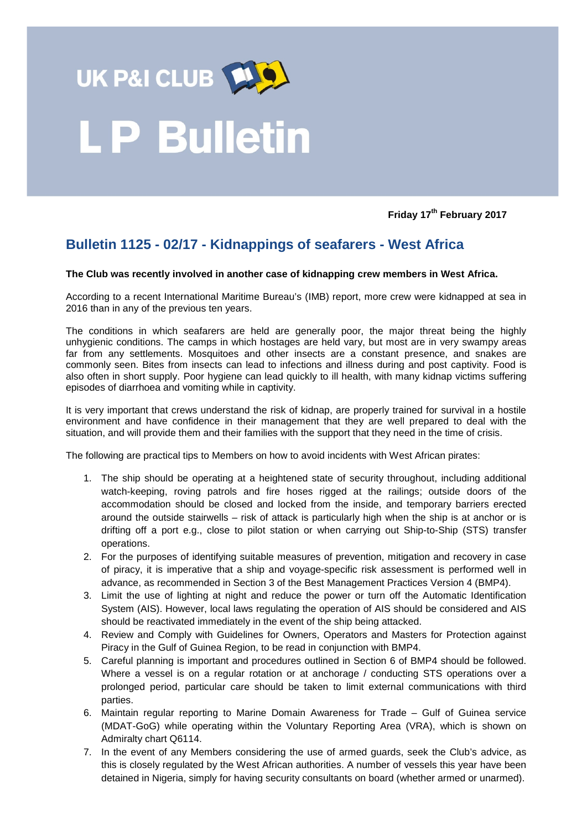

## **LP Bulletin**

**Friday 17th February 2017**

## **Bulletin 1125 - 02/17 - Kidnappings of seafarers - West Africa**

## **The Club was recently involved in another case of kidnapping crew members in West Africa.**

According to a recent International Maritime Bureau's (IMB) report, more crew were kidnapped at sea in 2016 than in any of the previous ten years.

The conditions in which seafarers are held are generally poor, the major threat being the highly unhygienic conditions. The camps in which hostages are held vary, but most are in very swampy areas far from any settlements. Mosquitoes and other insects are a constant presence, and snakes are commonly seen. Bites from insects can lead to infections and illness during and post captivity. Food is also often in short supply. Poor hygiene can lead quickly to ill health, with many kidnap victims suffering episodes of diarrhoea and vomiting while in captivity.

It is very important that crews understand the risk of kidnap, are properly trained for survival in a hostile environment and have confidence in their management that they are well prepared to deal with the situation, and will provide them and their families with the support that they need in the time of crisis.

The following are practical tips to Members on how to avoid incidents with West African pirates:

- 1. The ship should be operating at a heightened state of security throughout, including additional watch-keeping, roving patrols and fire hoses rigged at the railings; outside doors of the accommodation should be closed and locked from the inside, and temporary barriers erected around the outside stairwells – risk of attack is particularly high when the ship is at anchor or is drifting off a port e.g., close to pilot station or when carrying out Ship-to-Ship (STS) transfer operations.
- 2. For the purposes of identifying suitable measures of prevention, mitigation and recovery in case of piracy, it is imperative that a ship and voyage-specific risk assessment is performed well in advance, as recommended in Section 3 of the Best Management Practices Version 4 (BMP4).
- 3. Limit the use of lighting at night and reduce the power or turn off the Automatic Identification System (AIS). However, local laws regulating the operation of AIS should be considered and AIS should be reactivated immediately in the event of the ship being attacked.
- 4. Review and Comply with Guidelines for Owners, Operators and Masters for Protection against Piracy in the Gulf of Guinea Region, to be read in conjunction with BMP4.
- 5. Careful planning is important and procedures outlined in Section 6 of BMP4 should be followed. Where a vessel is on a regular rotation or at anchorage / conducting STS operations over a prolonged period, particular care should be taken to limit external communications with third parties.
- 6. Maintain regular reporting to Marine Domain Awareness for Trade Gulf of Guinea service (MDAT-GoG) while operating within the Voluntary Reporting Area (VRA), which is shown on Admiralty chart Q6114.
- 7. In the event of any Members considering the use of armed guards, seek the Club's advice, as this is closely regulated by the West African authorities. A number of vessels this year have been detained in Nigeria, simply for having security consultants on board (whether armed or unarmed).